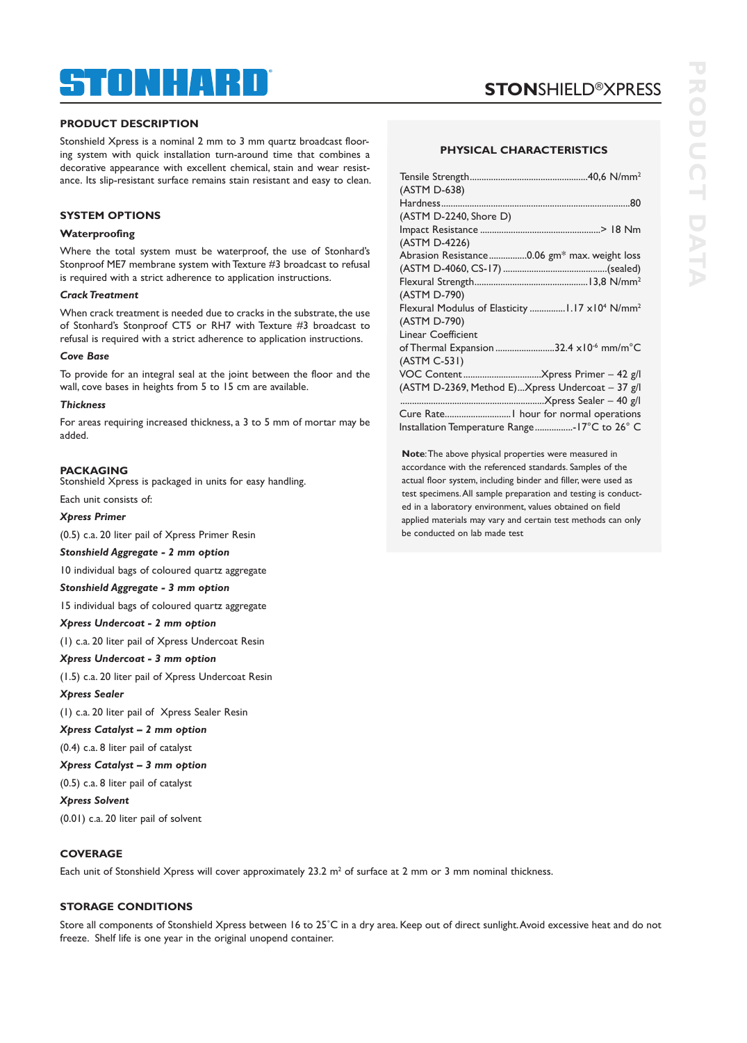## ® TNHART

# **STON**SHIELD®XPRESS

#### **PRODUCT DESCRIPTION**

Stonshield Xpress is a nominal 2 mm to 3 mm quartz broadcast flooring system with quick installation turn-around time that combines a decorative appearance with excellent chemical, stain and wear resistance. Its slip-resistant surface remains stain resistant and easy to clean.

#### **SYSTEM OPTIONS**

#### **Waterproofing**

Where the total system must be waterproof, the use of Stonhard's Stonproof ME7 membrane system with Texture #3 broadcast to refusal is required with a strict adherence to application instructions.

#### *Crack Treatment*

When crack treatment is needed due to cracks in the substrate, the use of Stonhard's Stonproof CT5 or RH7 with Texture #3 broadcast to refusal is required with a strict adherence to application instructions.

#### *Cove Base*

To provide for an integral seal at the joint between the floor and the wall, cove bases in heights from 5 to 15 cm are available.

#### *Thickness*

For areas requiring increased thickness, a 3 to 5 mm of mortar may be added.

#### **PACKAGING**

Stonshield Xpress is packaged in units for easy handling.

Each unit consists of:

#### *Xpress Primer*

(0.5) c.a. 20 liter pail of Xpress Primer Resin

#### *Stonshield Aggregate - 2 mm option*

10 individual bags of coloured quartz aggregate

#### *Stonshield Aggregate - 3 mm option*

15 individual bags of coloured quartz aggregate

#### *Xpress Undercoat - 2 mm option*

(1) c.a. 20 liter pail of Xpress Undercoat Resin

#### *Xpress Undercoat - 3 mm option*

(1.5) c.a. 20 liter pail of Xpress Undercoat Resin

#### *Xpress Sealer*

(1) c.a. 20 liter pail of Xpress Sealer Resin

#### *Xpress Catalyst – 2 mm option*

(0.4) c.a. 8 liter pail of catalyst

*Xpress Catalyst – 3 mm option* 

#### (0.5) c.a. 8 liter pail of catalyst

*Xpress Solvent* 

(0.01) c.a. 20 liter pail of solvent

#### **COVERAGE**

Each unit of Stonshield Xpress will cover approximately 23.2  $m^2$  of surface at 2 mm or 3 mm nominal thickness.

#### **STORAGE CONDITIONS**

Store all components of Stonshield Xpress between 16 to 25˚C in a dry area. Keep out of direct sunlight. Avoid excessive heat and do not freeze. Shelf life is one year in the original unopend container.

#### **PHYSICAL CHARACTERISTICS**

| (ASTM D-638)                                       |
|----------------------------------------------------|
|                                                    |
| (ASTM D-2240, Shore D)                             |
|                                                    |
| (ASTM D-4226)                                      |
| Abrasion Resistance0.06 gm* max. weight loss       |
|                                                    |
|                                                    |
| (ASTM D-790)                                       |
|                                                    |
| (ASTM D-790)                                       |
| <b>Linear Coefficient</b>                          |
| of Thermal Expansion 32.4 x10 <sup>-6</sup> mm/m°C |
| $(ASTM C-531)$                                     |
|                                                    |
| (ASTM D-2369, Method E)Xpress Undercoat - 37 g/l   |
|                                                    |
|                                                    |
| Installation Temperature Range-17°C to 26° C       |

**Note**: The above physical properties were measured in accordance with the referenced standards. Samples of the actual floor system, including binder and filler, were used as test specimens. All sample preparation and testing is conducted in a laboratory environment, values obtained on field applied materials may vary and certain test methods can only be conducted on lab made test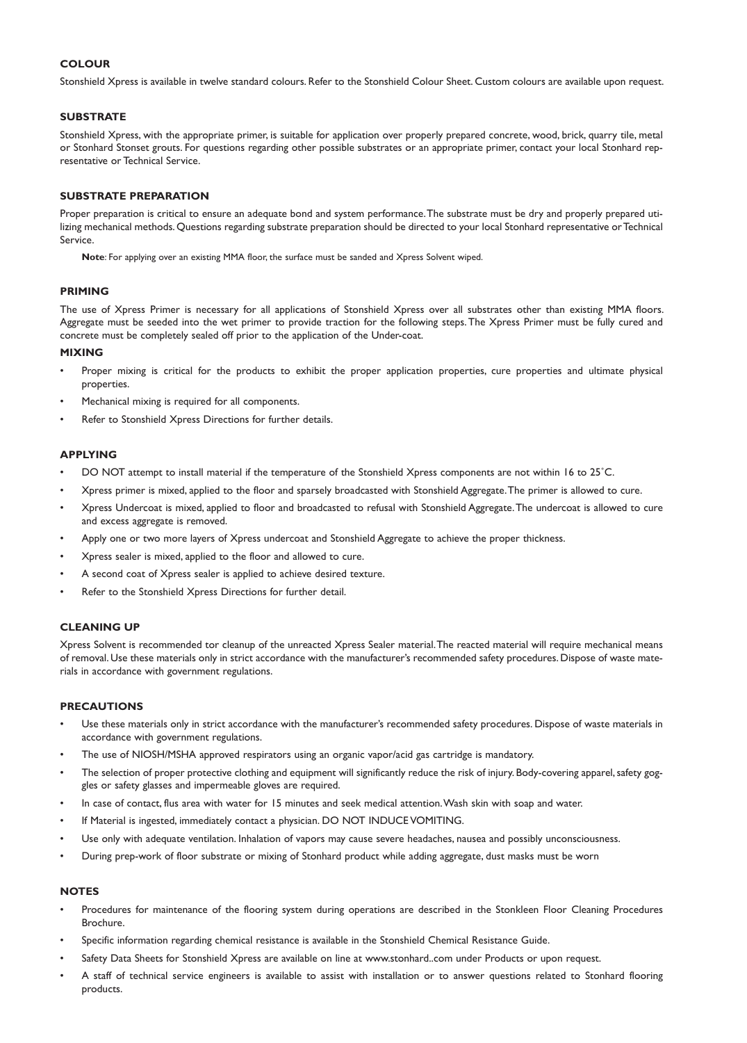### **COLOUR**

Stonshield Xpress is available in twelve standard colours. Refer to the Stonshield Colour Sheet. Custom colours are available upon request.

### **SUBSTRATE**

Stonshield Xpress, with the appropriate primer, is suitable for application over properly prepared concrete, wood, brick, quarry tile, metal or Stonhard Stonset grouts. For questions regarding other possible substrates or an appropriate primer, contact your local Stonhard representative or Technical Service.

#### **SUBSTRATE PREPARATION**

Proper preparation is critical to ensure an adequate bond and system performance. The substrate must be dry and properly prepared utilizing mechanical methods. Questions regarding substrate preparation should be directed to your local Stonhard representative or Technical Service.

**Note**: For applying over an existing MMA floor, the surface must be sanded and Xpress Solvent wiped.

### **PRIMING**

The use of Xpress Primer is necessary for all applications of Stonshield Xpress over all substrates other than existing MMA floors. Aggregate must be seeded into the wet primer to provide traction for the following steps. The Xpress Primer must be fully cured and concrete must be completely sealed off prior to the application of the Under-coat.

### **MIXING**

- Proper mixing is critical for the products to exhibit the proper application properties, cure properties and ultimate physical properties.
- Mechanical mixing is required for all components.
- Refer to Stonshield Xpress Directions for further details.

#### **APPLYING**

- DO NOT attempt to install material if the temperature of the Stonshield Xpress components are not within 16 to 25˚C.
- Xpress primer is mixed, applied to the floor and sparsely broadcasted with Stonshield Aggregate. The primer is allowed to cure.
- Xpress Undercoat is mixed, applied to floor and broadcasted to refusal with Stonshield Aggregate. The undercoat is allowed to cure and excess aggregate is removed.
- Apply one or two more layers of Xpress undercoat and Stonshield Aggregate to achieve the proper thickness.
- Xpress sealer is mixed, applied to the floor and allowed to cure.
- A second coat of Xpress sealer is applied to achieve desired texture.
- Refer to the Stonshield Xpress Directions for further detail.

### **CLEANING UP**

Xpress Solvent is recommended tor cleanup of the unreacted Xpress Sealer material. The reacted material will require mechanical means of removal. Use these materials only in strict accordance with the manufacturer's recommended safety procedures. Dispose of waste materials in accordance with government regulations.

#### **PRECAUTIONS**

- Use these materials only in strict accordance with the manufacturer's recommended safety procedures. Dispose of waste materials in accordance with government regulations.
- The use of NIOSH/MSHA approved respirators using an organic vapor/acid gas cartridge is mandatory.
- The selection of proper protective clothing and equipment will significantly reduce the risk of injury. Body-covering apparel, safety goggles or safety glasses and impermeable gloves are required.
- In case of contact, flus area with water for 15 minutes and seek medical attention. Wash skin with soap and water.
- If Material is ingested, immediately contact a physician. DO NOT INDUCE VOMITING.
- Use only with adequate ventilation. Inhalation of vapors may cause severe headaches, nausea and possibly unconsciousness.
- During prep-work of floor substrate or mixing of Stonhard product while adding aggregate, dust masks must be worn

#### **NOTES**

- Procedures for maintenance of the flooring system during operations are described in the Stonkleen Floor Cleaning Procedures Brochure.
- Specific information regarding chemical resistance is available in the Stonshield Chemical Resistance Guide.
- Safety Data Sheets for Stonshield Xpress are available on line at www.stonhard..com under Products or upon request.
- A staff of technical service engineers is available to assist with installation or to answer questions related to Stonhard flooring products.